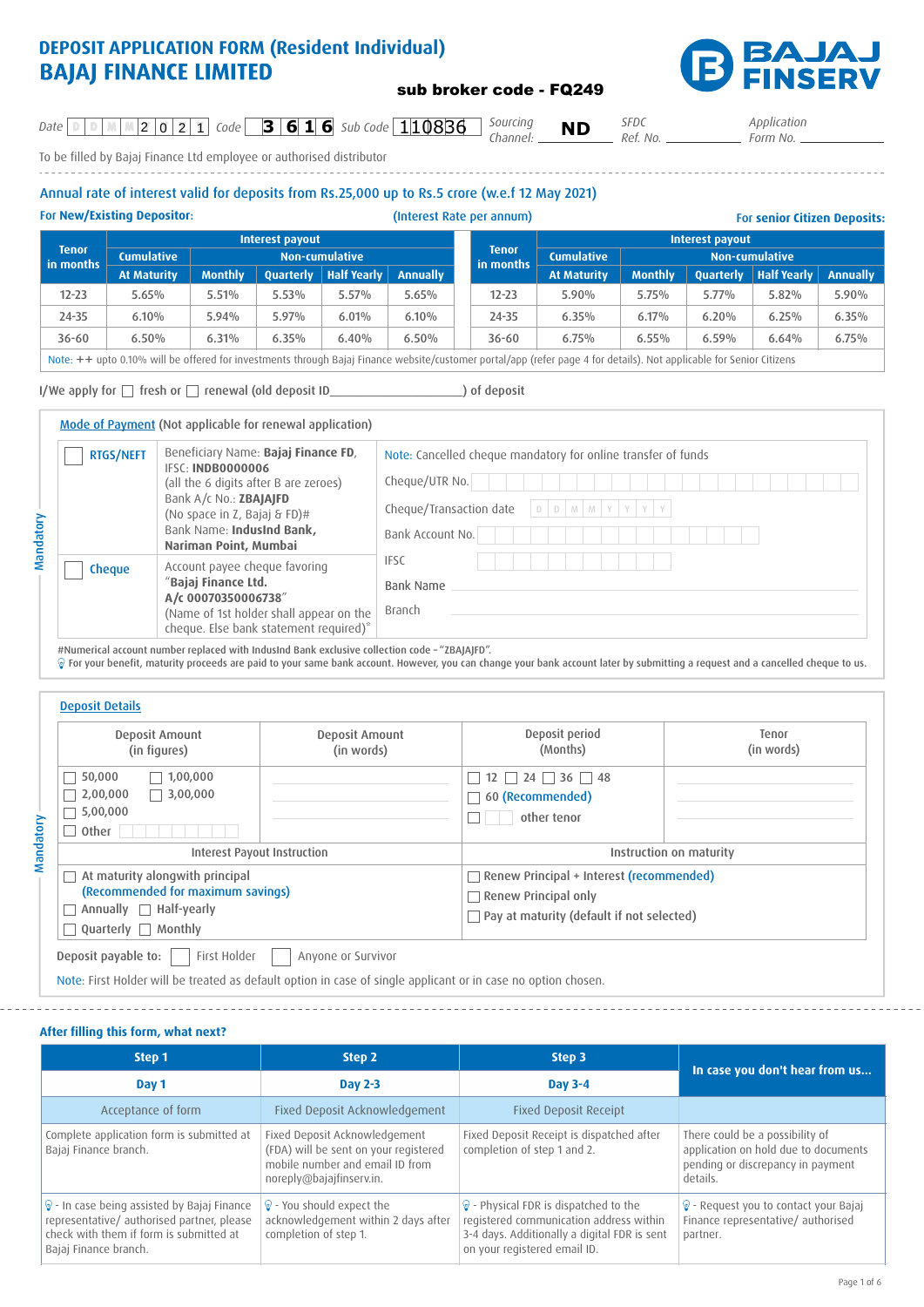# **DEPOSIT APPLICATION FORM (Resident Individual) BAJAJ FINANCE LIMITED**

*Channel:*

*Date* **C D M M**  $\begin{bmatrix} 2 & 0 & 2 & 1 \end{bmatrix}$  Code **3 6 1 6** Sub Code 110836 **6** Sourcing **ND** 

To be filled by Bajaj Finance Ltd employee or authorised distributor

# Annual rate of interest valid for deposits from Rs.25,000 up to Rs.5 crore (w.e.f 12 May 2021)

For **New/Existing Depositor**: (Interest Rate per annum) For **senior Citizen Deposits: Tenor in months Interest payout Cumulative Non-cumulative At Maturity Monthly Quarterly Half Yearly Annually** 12-23 5.65% 5.51% 5.53% 5.57% 5.65% 24-35 6.10% 5.94% 5.97% 6.01% 6.10%  $36\text{-}60$   $\begin{array}{|l}$   $6.50\% \end{array}$   $\begin{array}{|l}$   $6.31\% \end{array}$   $\begin{array}{|l}$   $6.35\% \end{array}$   $\begin{array}{|l}$   $6.40\% \end{array}$   $\begin{array}{|l}$   $6.50\% \end{array}$ **Tenor in months Interest payout Cumulative Non-cumulative At Maturity Monthly Quarterly Half Yearly Annually** 12-23 5.90% 5.75% 5.77% 5.82% 5.90% 24-35 6.35% 6.17% 6.20% 6.25% 6.35%  $36-60$  6.75% 6.55% 6.59% 6.64% 6.75%

Note: ++ upto 0.10% will be offered for investments through Bajaj Finance website/customer portal/app (refer page 4 for details). Not applicable for Senior Citizens

I/We apply for fresh or renewal (old deposit ID\_\_\_\_\_\_\_\_\_\_\_\_\_\_\_\_\_\_\_\_\_) of deposit

Mandatory

Mandatory

Mode of Payment (Not applicable for renewal application)

| <b>RTGS/NEFT</b> | Beneficiary Name: Bajaj Finance FD,<br>IFSC: INDB0000006<br>(all the 6 digits after B are zeroes)<br>Bank A/c No.: ZBAJAJFD<br>(No space in Z, Bajaj & FD)#<br>Bank Name: IndusInd Bank,<br>Nariman Point, Mumbai | Note: Cancelled cheque mandatory for online transfer of funds<br>Cheque/UTR No.<br>$D D M M Y Y Y$<br>Cheque/Transaction date<br>Bank Account No. |
|------------------|-------------------------------------------------------------------------------------------------------------------------------------------------------------------------------------------------------------------|---------------------------------------------------------------------------------------------------------------------------------------------------|
| <b>Cheque</b>    | Account payee cheque favoring<br>"Bajaj Finance Ltd.<br>A/c 00070350006738"<br>(Name of 1st holder shall appear on the<br>cheque. Else bank statement required)*                                                  | <b>IFSC</b><br><b>Bank Name</b><br>Branch                                                                                                         |

#Numerical account number replaced with IndusInd Bank exclusive collection code – "ZBAJAJFD".

For your benefit, maturity proceeds are paid to your same bank account. However, you can change your bank account later by submitting a request and a cancelled cheque to us.

| Deposit Amount<br>(in figures)                                       | Deposit Amount<br>(in words) | Deposit period<br>(Months)                                                                                           | Tenor<br>(in words) |  |  |  |
|----------------------------------------------------------------------|------------------------------|----------------------------------------------------------------------------------------------------------------------|---------------------|--|--|--|
| 50,000<br>1,00,000<br>3,00,000<br>2,00,000<br>5,00,000<br>Other      |                              | $12 \square 24 \square 36 \square 48$<br>60 (Recommended)<br>other tenor                                             |                     |  |  |  |
| Interest Payout Instruction                                          |                              | Instruction on maturity                                                                                              |                     |  |  |  |
| At maturity alongwith principal<br>(Recommended for maximum savings) |                              | Renew Principal + Interest (recommended)<br>Renew Principal only<br>$\Box$ Pay at maturity (default if not selected) |                     |  |  |  |
| Annually $\Box$ Half-yearly<br>Quarterly $\Box$ Monthly              |                              |                                                                                                                      |                     |  |  |  |

**After filling this form, what next?**

| Step 1                                                                                                                                                                    | Step 2                                                                                                                                | Step 3                                                                                                                                                                       | In case you don't hear from us                                                                                           |  |  |
|---------------------------------------------------------------------------------------------------------------------------------------------------------------------------|---------------------------------------------------------------------------------------------------------------------------------------|------------------------------------------------------------------------------------------------------------------------------------------------------------------------------|--------------------------------------------------------------------------------------------------------------------------|--|--|
| Day 1                                                                                                                                                                     | <b>Day 2-3</b>                                                                                                                        | Day 3-4                                                                                                                                                                      |                                                                                                                          |  |  |
| Acceptance of form                                                                                                                                                        | Fixed Deposit Acknowledgement                                                                                                         | <b>Fixed Deposit Receipt</b>                                                                                                                                                 |                                                                                                                          |  |  |
| Complete application form is submitted at<br>Bajaj Finance branch.                                                                                                        | Fixed Deposit Acknowledgement<br>(FDA) will be sent on your registered<br>mobile number and email ID from<br>noreply@bajajfinserv.in. | Fixed Deposit Receipt is dispatched after<br>completion of step 1 and 2.                                                                                                     | There could be a possibility of<br>application on hold due to documents<br>pending or discrepancy in payment<br>details. |  |  |
| $\mathcal{D}$ - In case being assisted by Bajaj Finance<br>representative/ authorised partner, please<br>check with them if form is submitted at<br>Bajaj Finance branch. | • You should expect the<br>acknowledgement within 2 days after<br>completion of step 1.                                               | $\mathcal{D}$ - Physical FDR is dispatched to the<br>registered communication address within<br>3-4 days. Additionally a digital FDR is sent<br>on your registered email ID. | widehat{ Pequest you to contact your Bajaj<br>Finance representative/authorised<br>partner.                              |  |  |

# sub broker code - FQ249



*SFDC Ref. No.*

*Application Form No.*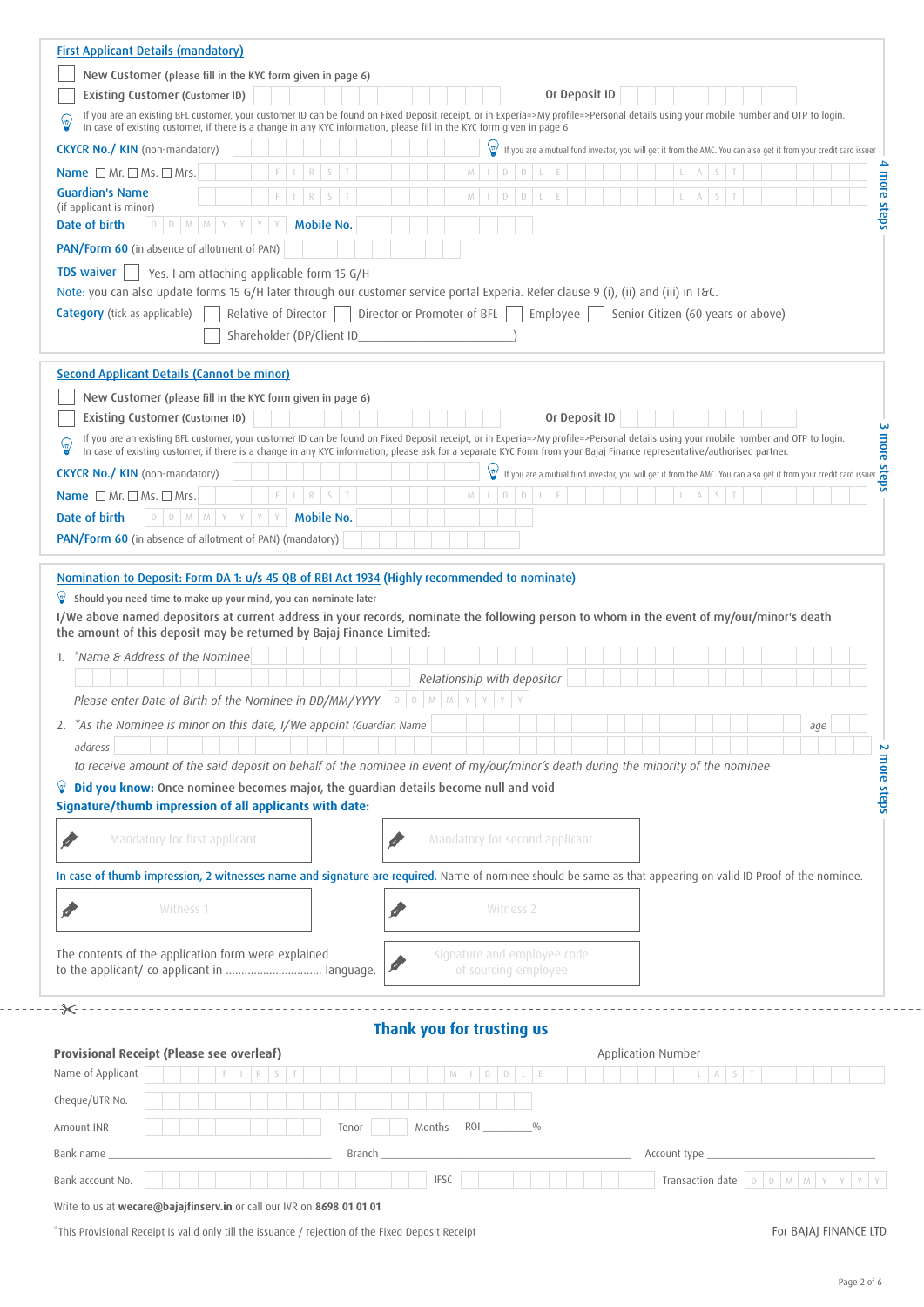| <b>First Applicant Details (mandatory)</b>                                                                                                                                                                                                                                                                                                                      |                                            |  |  |                                                      |        |                           |        |                                |   |                       |           |               |  |  |                    |                       |                                    |                                                                                                                                                                                                                                   |     |  |  |
|-----------------------------------------------------------------------------------------------------------------------------------------------------------------------------------------------------------------------------------------------------------------------------------------------------------------------------------------------------------------|--------------------------------------------|--|--|------------------------------------------------------|--------|---------------------------|--------|--------------------------------|---|-----------------------|-----------|---------------|--|--|--------------------|-----------------------|------------------------------------|-----------------------------------------------------------------------------------------------------------------------------------------------------------------------------------------------------------------------------------|-----|--|--|
| New Customer (please fill in the KYC form given in page 6)                                                                                                                                                                                                                                                                                                      |                                            |  |  |                                                      |        |                           |        |                                |   |                       |           |               |  |  |                    |                       |                                    |                                                                                                                                                                                                                                   |     |  |  |
| <b>Existing Customer (Customer ID)</b><br>If you are an existing BFL customer, your customer ID can be found on Fixed Deposit receipt, or in Experia=>My profile=>Personal details using your mobile number and OTP to login.                                                                                                                                   |                                            |  |  |                                                      |        |                           |        |                                |   |                       |           | Or Deposit ID |  |  |                    |                       |                                    |                                                                                                                                                                                                                                   |     |  |  |
| ଡ଼<br>In case of existing customer, if there is a change in any KYC information, please fill in the KYC form given in page 6                                                                                                                                                                                                                                    |                                            |  |  |                                                      |        |                           |        |                                |   |                       |           |               |  |  |                    |                       |                                    |                                                                                                                                                                                                                                   |     |  |  |
| <b>CKYCR No./ KIN</b> (non-mandatory)                                                                                                                                                                                                                                                                                                                           |                                            |  |  |                                                      |        |                           |        |                                |   |                       |           |               |  |  |                    |                       |                                    | If you are a mutual fund investor, you will get it from the AMC. You can also get it from your credit card issuer                                                                                                                 |     |  |  |
| Name $\Box$ Mr. $\Box$ Ms. $\Box$ Mrs.                                                                                                                                                                                                                                                                                                                          |                                            |  |  |                                                      |        |                           |        |                                |   |                       |           |               |  |  |                    |                       |                                    |                                                                                                                                                                                                                                   |     |  |  |
| <b>Guardian's Name</b><br>(if applicant is minor)                                                                                                                                                                                                                                                                                                               |                                            |  |  |                                                      |        |                           |        |                                |   |                       |           |               |  |  |                    |                       |                                    |                                                                                                                                                                                                                                   |     |  |  |
| Date of birth                                                                                                                                                                                                                                                                                                                                                   | $D$ $M$<br>D                               |  |  | <b>Mobile No.</b>                                    |        |                           |        |                                |   |                       |           |               |  |  |                    |                       |                                    |                                                                                                                                                                                                                                   |     |  |  |
| PAN/Form 60 (in absence of allotment of PAN)                                                                                                                                                                                                                                                                                                                    |                                            |  |  |                                                      |        |                           |        |                                |   |                       |           |               |  |  |                    |                       |                                    |                                                                                                                                                                                                                                   |     |  |  |
| <b>TDS waiver</b>                                                                                                                                                                                                                                                                                                                                               | Yes. I am attaching applicable form 15 G/H |  |  |                                                      |        |                           |        |                                |   |                       |           |               |  |  |                    |                       |                                    |                                                                                                                                                                                                                                   |     |  |  |
| Note: you can also update forms 15 G/H later through our customer service portal Experia. Refer clause 9 (i), (ii) and (iii) in T&C.                                                                                                                                                                                                                            |                                            |  |  |                                                      |        |                           |        |                                |   |                       |           |               |  |  |                    |                       |                                    |                                                                                                                                                                                                                                   |     |  |  |
| <b>Category</b> (tick as applicable)                                                                                                                                                                                                                                                                                                                            |                                            |  |  | Relative of Director     Director or Promoter of BFL |        |                           |        |                                |   |                       |           | Employee      |  |  |                    |                       | Senior Citizen (60 years or above) |                                                                                                                                                                                                                                   |     |  |  |
|                                                                                                                                                                                                                                                                                                                                                                 |                                            |  |  | Shareholder (DP/Client ID_                           |        |                           |        |                                |   |                       |           |               |  |  |                    |                       |                                    |                                                                                                                                                                                                                                   |     |  |  |
| Second Applicant Details (Cannot be minor)                                                                                                                                                                                                                                                                                                                      |                                            |  |  |                                                      |        |                           |        |                                |   |                       |           |               |  |  |                    |                       |                                    |                                                                                                                                                                                                                                   |     |  |  |
| New Customer (please fill in the KYC form given in page 6)                                                                                                                                                                                                                                                                                                      |                                            |  |  |                                                      |        |                           |        |                                |   |                       |           |               |  |  |                    |                       |                                    |                                                                                                                                                                                                                                   |     |  |  |
| <b>Existing Customer (Customer ID)</b>                                                                                                                                                                                                                                                                                                                          |                                            |  |  |                                                      |        |                           |        |                                |   |                       |           | Or Deposit ID |  |  |                    |                       |                                    |                                                                                                                                                                                                                                   |     |  |  |
| If you are an existing BFL customer, your customer ID can be found on Fixed Deposit receipt, or in Experia=>My profile=>Personal details using your mobile number and OTP to login.<br>In case of existing customer, if there is a change in any KYC information, please ask for a separate KYC Form from your Bajaj Finance representative/authorised partner. |                                            |  |  |                                                      |        |                           |        |                                |   |                       |           |               |  |  |                    |                       |                                    | Experia=>My profile=>Personal details using your mobile number and OTP to login.<br>EXC Form from your Bajaj Finance representative/authorised partner.<br>If you are a mutual fund investor, you will get it from the AMC. You c |     |  |  |
| <b>CKYCR No./ KIN</b> (non-mandatory)                                                                                                                                                                                                                                                                                                                           |                                            |  |  |                                                      |        |                           |        |                                |   | ७                     |           |               |  |  |                    |                       |                                    |                                                                                                                                                                                                                                   |     |  |  |
| Name $\Box$ Mr. $\Box$ Ms. $\Box$ Mrs.                                                                                                                                                                                                                                                                                                                          |                                            |  |  |                                                      |        |                           |        |                                |   | D                     | D         |               |  |  |                    |                       |                                    |                                                                                                                                                                                                                                   |     |  |  |
| Date of birth                                                                                                                                                                                                                                                                                                                                                   | $D$ $D$ $M$ $M$                            |  |  | <b>Mobile No.</b>                                    |        |                           |        |                                |   |                       |           |               |  |  |                    |                       |                                    |                                                                                                                                                                                                                                   |     |  |  |
| PAN/Form 60 (in absence of allotment of PAN) (mandatory)                                                                                                                                                                                                                                                                                                        |                                            |  |  |                                                      |        |                           |        |                                |   |                       |           |               |  |  |                    |                       |                                    |                                                                                                                                                                                                                                   |     |  |  |
| "Name & Address of the Nominee<br>1.<br>Please enter Date of Birth of the Nominee in DD/MM/YYYY                                                                                                                                                                                                                                                                 |                                            |  |  |                                                      |        | $\mathbb D$               | D M M  | Relationship with depositor    | Y |                       |           |               |  |  |                    |                       |                                    |                                                                                                                                                                                                                                   |     |  |  |
| "As the Nominee is minor on this date, I/We appoint (Guardian Name                                                                                                                                                                                                                                                                                              |                                            |  |  |                                                      |        |                           |        |                                |   |                       |           |               |  |  |                    |                       |                                    |                                                                                                                                                                                                                                   | age |  |  |
| address                                                                                                                                                                                                                                                                                                                                                         |                                            |  |  |                                                      |        |                           |        |                                |   |                       |           |               |  |  |                    |                       |                                    |                                                                                                                                                                                                                                   |     |  |  |
| to receive amount of the said deposit on behalf of the nominee in event of my/our/minor's death during the minority of the nominee                                                                                                                                                                                                                              |                                            |  |  |                                                      |        |                           |        |                                |   |                       |           |               |  |  |                    |                       |                                    |                                                                                                                                                                                                                                   |     |  |  |
| Did you know: Once nominee becomes major, the guardian details become null and void<br>Signature/thumb impression of all applicants with date:                                                                                                                                                                                                                  |                                            |  |  |                                                      |        |                           |        |                                |   |                       |           |               |  |  |                    |                       |                                    |                                                                                                                                                                                                                                   |     |  |  |
|                                                                                                                                                                                                                                                                                                                                                                 |                                            |  |  |                                                      |        |                           |        |                                |   |                       |           |               |  |  |                    |                       |                                    |                                                                                                                                                                                                                                   |     |  |  |
| ď                                                                                                                                                                                                                                                                                                                                                               | Mandatory for first applicant              |  |  |                                                      |        |                           |        | Mandatory for second applicant |   |                       |           |               |  |  |                    |                       |                                    |                                                                                                                                                                                                                                   |     |  |  |
| In case of thumb impression, 2 witnesses name and signature are required. Name of nominee should be same as that appearing on valid ID Proof of the nominee.                                                                                                                                                                                                    |                                            |  |  |                                                      |        |                           |        |                                |   |                       |           |               |  |  |                    |                       |                                    |                                                                                                                                                                                                                                   |     |  |  |
|                                                                                                                                                                                                                                                                                                                                                                 |                                            |  |  |                                                      |        |                           |        |                                |   |                       |           |               |  |  |                    |                       |                                    |                                                                                                                                                                                                                                   |     |  |  |
|                                                                                                                                                                                                                                                                                                                                                                 | Witness 1                                  |  |  |                                                      |        |                           |        |                                |   |                       | Witness 2 |               |  |  |                    |                       |                                    |                                                                                                                                                                                                                                   |     |  |  |
|                                                                                                                                                                                                                                                                                                                                                                 |                                            |  |  |                                                      |        |                           |        | signature and employee code    |   |                       |           |               |  |  |                    |                       |                                    |                                                                                                                                                                                                                                   |     |  |  |
| The contents of the application form were explained<br>to the applicant/ co applicant in  language.                                                                                                                                                                                                                                                             |                                            |  |  |                                                      |        |                           |        |                                |   | of sourcing employee  |           |               |  |  |                    |                       |                                    |                                                                                                                                                                                                                                   |     |  |  |
|                                                                                                                                                                                                                                                                                                                                                                 |                                            |  |  |                                                      |        |                           |        |                                |   |                       |           |               |  |  |                    |                       |                                    |                                                                                                                                                                                                                                   |     |  |  |
| - > > ⊱                                                                                                                                                                                                                                                                                                                                                         |                                            |  |  |                                                      |        |                           |        |                                |   |                       |           |               |  |  |                    |                       |                                    |                                                                                                                                                                                                                                   |     |  |  |
|                                                                                                                                                                                                                                                                                                                                                                 |                                            |  |  |                                                      |        | Thank you for trusting us |        |                                |   |                       |           |               |  |  |                    |                       |                                    |                                                                                                                                                                                                                                   |     |  |  |
| <b>Provisional Receipt (Please see overleaf)</b>                                                                                                                                                                                                                                                                                                                |                                            |  |  |                                                      |        |                           |        |                                |   |                       |           |               |  |  | Application Number |                       |                                    |                                                                                                                                                                                                                                   |     |  |  |
| Name of Applicant                                                                                                                                                                                                                                                                                                                                               |                                            |  |  |                                                      |        |                           |        |                                |   |                       |           |               |  |  |                    |                       |                                    |                                                                                                                                                                                                                                   |     |  |  |
| Cheque/UTR No.                                                                                                                                                                                                                                                                                                                                                  |                                            |  |  |                                                      |        |                           |        |                                |   |                       |           |               |  |  |                    |                       |                                    |                                                                                                                                                                                                                                   |     |  |  |
| Amount INR                                                                                                                                                                                                                                                                                                                                                      |                                            |  |  | Tenor                                                |        |                           | Months |                                |   | $ROI$ $\frac{\%}{\%}$ |           |               |  |  |                    |                       |                                    |                                                                                                                                                                                                                                   |     |  |  |
| Bank name                                                                                                                                                                                                                                                                                                                                                       |                                            |  |  |                                                      | Branch |                           |        |                                |   |                       |           |               |  |  |                    | Account type ________ |                                    |                                                                                                                                                                                                                                   |     |  |  |
| Bank account No.                                                                                                                                                                                                                                                                                                                                                |                                            |  |  |                                                      |        |                           |        | <b>IFSC</b>                    |   |                       |           |               |  |  |                    |                       |                                    | Transaction date $\boxed{D \mid D \mid M \mid M \mid Y}$                                                                                                                                                                          |     |  |  |

Write to us at **wecare@bajajfinserv.in** or call our IVR on **8698 01 01 01**

\*This Provisional Receipt is valid only till the issuance / rejection of the Fixed Deposit Receipt

For BAJAJ FINANCE LTD

 $- - - -$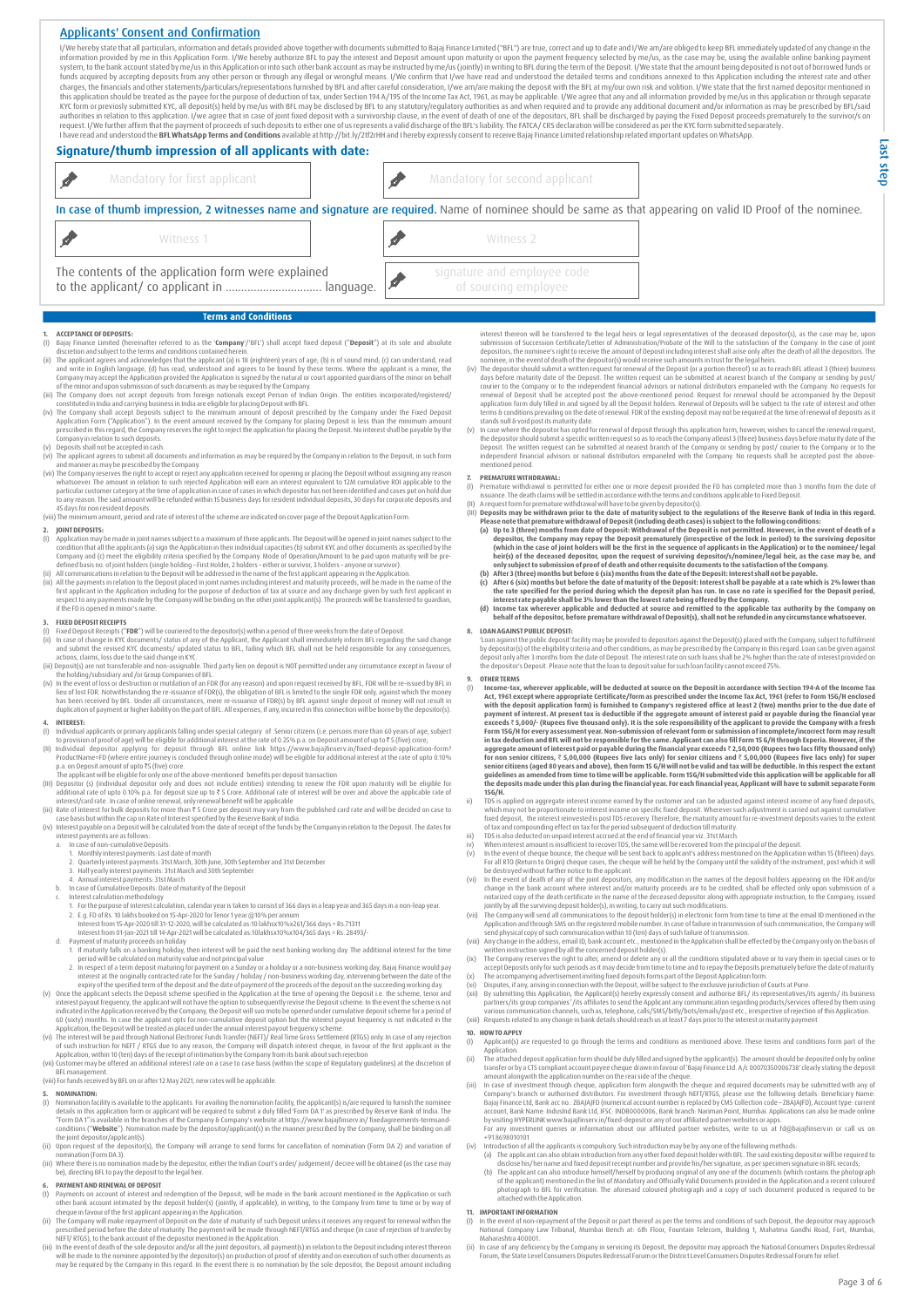## Applicants' Consent and Confirmation

I/We hereby state that all particulars, information and details provided above together with documents submitted to Bajaj Finance Limited ("BFL") are true, correct and up to date and I/We am/are obliged to keep BFL immedia funds acquired by accepting deposits from any other person or through any illegal or wrongful means. I/We confirm that I/we have read and understood the detailed terms and conditions annexed to this Application including t KYC form or previosly submitted KYC, all deposit(s) held by me/us with BFL may be disclosed by BFL to any statutory/regulatory authorities as and when required and to provide any additional document and/or information as m

| Signature/thumb impression of all applicants with date:                                                                                                                                                                                                                                                                                                                                                                                                                                                                                                                                                                                                                                                                                                                                                                                                                                                                                                                                                                                                                                                                                                                                                                                                                                                   |                                                     |                                                                                                                                                                                                                                                                                                                                                                                                                                                                                                                                                                                                                                                                                                                                                                                                                                                                                                                                                                                                                                                                                                                                                                                                                                                                                                                                                                                                                                  |
|-----------------------------------------------------------------------------------------------------------------------------------------------------------------------------------------------------------------------------------------------------------------------------------------------------------------------------------------------------------------------------------------------------------------------------------------------------------------------------------------------------------------------------------------------------------------------------------------------------------------------------------------------------------------------------------------------------------------------------------------------------------------------------------------------------------------------------------------------------------------------------------------------------------------------------------------------------------------------------------------------------------------------------------------------------------------------------------------------------------------------------------------------------------------------------------------------------------------------------------------------------------------------------------------------------------|-----------------------------------------------------|----------------------------------------------------------------------------------------------------------------------------------------------------------------------------------------------------------------------------------------------------------------------------------------------------------------------------------------------------------------------------------------------------------------------------------------------------------------------------------------------------------------------------------------------------------------------------------------------------------------------------------------------------------------------------------------------------------------------------------------------------------------------------------------------------------------------------------------------------------------------------------------------------------------------------------------------------------------------------------------------------------------------------------------------------------------------------------------------------------------------------------------------------------------------------------------------------------------------------------------------------------------------------------------------------------------------------------------------------------------------------------------------------------------------------------|
| Mandatory for first applicant                                                                                                                                                                                                                                                                                                                                                                                                                                                                                                                                                                                                                                                                                                                                                                                                                                                                                                                                                                                                                                                                                                                                                                                                                                                                             | Mandatory for second applicant                      |                                                                                                                                                                                                                                                                                                                                                                                                                                                                                                                                                                                                                                                                                                                                                                                                                                                                                                                                                                                                                                                                                                                                                                                                                                                                                                                                                                                                                                  |
| In case of thumb impression, 2 witnesses name and signature are required. Name of nominee should be same as that appearing on valid ID Proof of the nominee.                                                                                                                                                                                                                                                                                                                                                                                                                                                                                                                                                                                                                                                                                                                                                                                                                                                                                                                                                                                                                                                                                                                                              |                                                     |                                                                                                                                                                                                                                                                                                                                                                                                                                                                                                                                                                                                                                                                                                                                                                                                                                                                                                                                                                                                                                                                                                                                                                                                                                                                                                                                                                                                                                  |
| Witness 1                                                                                                                                                                                                                                                                                                                                                                                                                                                                                                                                                                                                                                                                                                                                                                                                                                                                                                                                                                                                                                                                                                                                                                                                                                                                                                 | Witness 2                                           |                                                                                                                                                                                                                                                                                                                                                                                                                                                                                                                                                                                                                                                                                                                                                                                                                                                                                                                                                                                                                                                                                                                                                                                                                                                                                                                                                                                                                                  |
| The contents of the application form were explained<br>to the applicant/ co applicant in  language.                                                                                                                                                                                                                                                                                                                                                                                                                                                                                                                                                                                                                                                                                                                                                                                                                                                                                                                                                                                                                                                                                                                                                                                                       | signature and employee code<br>of sourcing employee |                                                                                                                                                                                                                                                                                                                                                                                                                                                                                                                                                                                                                                                                                                                                                                                                                                                                                                                                                                                                                                                                                                                                                                                                                                                                                                                                                                                                                                  |
| <b>Terms and Conditions</b>                                                                                                                                                                                                                                                                                                                                                                                                                                                                                                                                                                                                                                                                                                                                                                                                                                                                                                                                                                                                                                                                                                                                                                                                                                                                               |                                                     |                                                                                                                                                                                                                                                                                                                                                                                                                                                                                                                                                                                                                                                                                                                                                                                                                                                                                                                                                                                                                                                                                                                                                                                                                                                                                                                                                                                                                                  |
| <b>ACCEPTANCE OF DEPOSITS:</b><br>(I) Bajaj Finance Limited (hereinafter referred to as the 'Company'/'BFL') shall accept fixed deposit ("Deposit") at its sole and absolute<br>discretion and subject to the terms and conditions contained herein.<br>(ii) The applicant agrees and acknowledges that the applicant (a) is 18 (eighteen) years of age; (b) is of sound mind; (c) can understand, read<br>and write in English language, (d) has read, understood and agrees to be bound by these terms. Where the applicant is a minor, the<br>Company may accept the Application provided the Application is signed by the natural or court appointed quardians of the minor on behalf<br>of the minor and upon submission of such documents as may be required by the Company.<br>(iii) The Company does not accept deposits from foreign nationals except Person of Indian Origin. The entities incorporated/registered/<br>constituted in India and carrying business in India are eligible for placing Deposit with BFL.<br>(iv) The Company shall accept Deposits subject to the minimum amount of deposit prescribed by the Company under the Fixed Deposit<br>Application Form ("Application"). In the event amount received by the Company for placing Deposit is less than the minimum amount | stands null & void post its maturity date.          | interest thereon will be transferred to the legal heirs or legal representatives of the deceased depositor(s), as the case may be, upon<br>submission of Succession Certificate/Letter of Administration/Probate of the Will to the satisfaction of the Company. In the case of joint<br>depositors, the nominee's right to receive the amount of Deposit including interest shall arise only after the death of all the depositors. The<br>nominee, in the event of death of the depositor(s) would receive such amounts in trust for the legal heirs.<br>(iv) The depositor should submit a written request for renewal of the Deposit (or a portion thereof) so as to reach BFL atleast 3 (three) business<br>days before maturity date of the Deposit. The written request can be submitted at nearest branch of the Company or sending by post/<br>courier to the Company or to the independent financial advisors or national distributors empaneled with the Company. No requests for<br>renewal of Deposit shall be accepted post the above-mentioned period. Request for renewal should be accompanied by the Deposit<br>application form duly filled in and signed by all the Deposit holders. Renewal of Deposits will be subject to the rate of interest and other<br>terms & conditions prevailing on the date of renewal. FDR of the existing deposit may not be required at the time of renewal of deposits as it |

- Application Form ("Application"). In the event amount received by the Company for placing Deposit is less than the minimum amount<br>prescribed in this regard, the Company reserves the right to reject the application for plac
- Company in relation to such deposits.<br>(v) Deposits shall not be accepted in cash.<br>(vi) The applicant agrees to submit all documents and information as may be required by the Company in relation to the Deposit, in such form
- whatsoever. The amount in relation to such rejected Application will earn an interest equivalent to 12M cumulative ROI applicable to the<br>particular customer category at the time of application in case of cases in which dep
- (viii) The minimum amount, period and rate of interest of the scheme are indicated on coverpage of the Deposit Application Form.

- **JOINT DEPOSITS:**<br>Application may be made in joint names subject to a maximum of three applicants. The Deposit will be opened in joint names subject to the (1) Application may be made in joint names subject to a maximum of three applicants. The Depositivill be opened in joint names subject to the Company and (c) meet the eligibility criterial specified by the Company. Mode o
- 

- 
- 
- 
- **3. FIXEO DEPOSIT RECEIPTS**<br>
(I) Fixed Deposit: Receipts ("FDR") will be couriered to the depositor(s) within a period of three weeks from the date of Deposit.<br>
(ii) In case of change in KY documents/ status of any of the

- 
- 
- 
- 
- 
- 
- 
- 
- 
- 
- 
- 
- 
- 
- 
- 4. WIFEREST.<br>
WIFEREST in the content of the state of the state of the state of the state of the state of the state of the state of the state of the state of the state of the state of the state of the state of the state o
- 
- 

## **5. NOMINATION:**

- ()) Nomination facility is available to the applicants. For availing the nomination facility, the applicant(s) is/are required to furnish the nominee details in this application form or applicant will be required to submit
- the joint depositor/applicant(s). (ii) Upon request of the depositor(s), the Company will arrange to send forms for cancellation of nomination (Form DA 2) and variation of nomination (Form DA3).<br>(iii) Where there is no nomination made by the depositor, either the Indian Court's order/ judgement/ decree will be obtained (as the case may<br>(iii) Where there is no nomination made by the deposit t
- 

- **6. PAYMENT AND RENEWAL OF DEPOSIT**<br>(1) Payments on account of interest and redemption of the Deposit, will be made in the bank account mentioned in the Application or such<br>other bank account intimated by the deposit hold
- 
- (iii) In the event of death of the sole depositor and/or all the joint depositors, all payment(s) in relation to the Deposit including interest thereon<br>will be made to the noninee appointed by the depositor(s) on productio
- days before maturity date of the Deposit. The written request can be submitted at nearest branch of the Company or sending by post/ renewal of Deposit shall be accepted post the above-mentioned period. Request for renewal should be accompanied by the Deposit terms & conditions prevailing on the date of renewal. FDR of the existing deposit may not be required at the time of renewal of deposits as it
- stands null is void post its maturity date<br>(v) In case where the depositor has opted for renewal of deposit through this application form, however, wishes to cancel the renewal request,<br>(v) In case where the depositor has mentioned period.

- 
- **7.** PREMATURE WITHORMAL is permitted for either one or more deposit provided the FD has completed more than 3 months from the date of (II) Arequest form for permature withdrawal piesertield in accodance with the terms an
	-
	-
	-

### **8. LOAN AGAINSTPUBLIC DEPOSIT:**

"Loan against the public deposit" facility may be provided to depositors against the Deposit(s) placed with the Company, subject to fulfilment<br>by depositor(s) of the eligibility criteria and other conditions, as may be pre

- 9. OTHER TEAMS<br>
(i) Income-tax, wherever applicable, will be deducted at source on the Deposit in accordance with Section 194-A of the Income Tax<br>
(i) Income-tax, wherever appropriate Certificate/form as prescribed under
- 
- 
- 
- 
- 
- 
- 
- 
- 
- TD is a pplied on agregate interest income earned by the customer and can be adjusted against interest income of the actions which may have deposits. Wherever such adjustment is carried out against cumulative fixed eposit,

- **10. HOWTO APPLY**<br>(I) Applicant(s) now to were the requested to go through the terms and conditions as mentioned above. These terms and conditions form part of the<br>Applicantion.<br>The attached deposit application form should be duly filled and signed by the a
- 
- Application.<br>
IThe atached deposit application form should be duly filled and signed by the applicant(s). The amount should be deposited only by online<br>
transfer or by a CTS compliant account payee cheque drawn in favour o byvisiting HYPERLINK www.bajajfinserv.in/fixed-deposit orany of our affiliated partner websites orapps.<br>For any investment queries or information about our affiliated partner websites, write to us at fd@bajajfinserv.in or
- +91 8698010101 (iv) Introduction of all the applicants is compulsory. Such introduction may be by any one of the following methods:
	- (a) The applicant can also obtain introduction from any other fixed deposit holder with BFL. The said existing depositor will be required to the discolential state charge deposit needel professive respective the discolutio

## **11. IMPORTANT INFORMATION**

- (I) In the event of non-repayment of the Deposit or part thereof as per the terms and conditions of such Deposit, the depositor may approach<br>National Company Law Tribunal, Mumbai Bench at: 6th Floor, Fountain Telecom, Buil
- ii) In case of any deficiency by the Company in servicing its Deposit, the depositor may approach the National Consumers Disputes Redressal<br>Forum, the State Level Consumers Disputes Redressal Forum or the District Level Co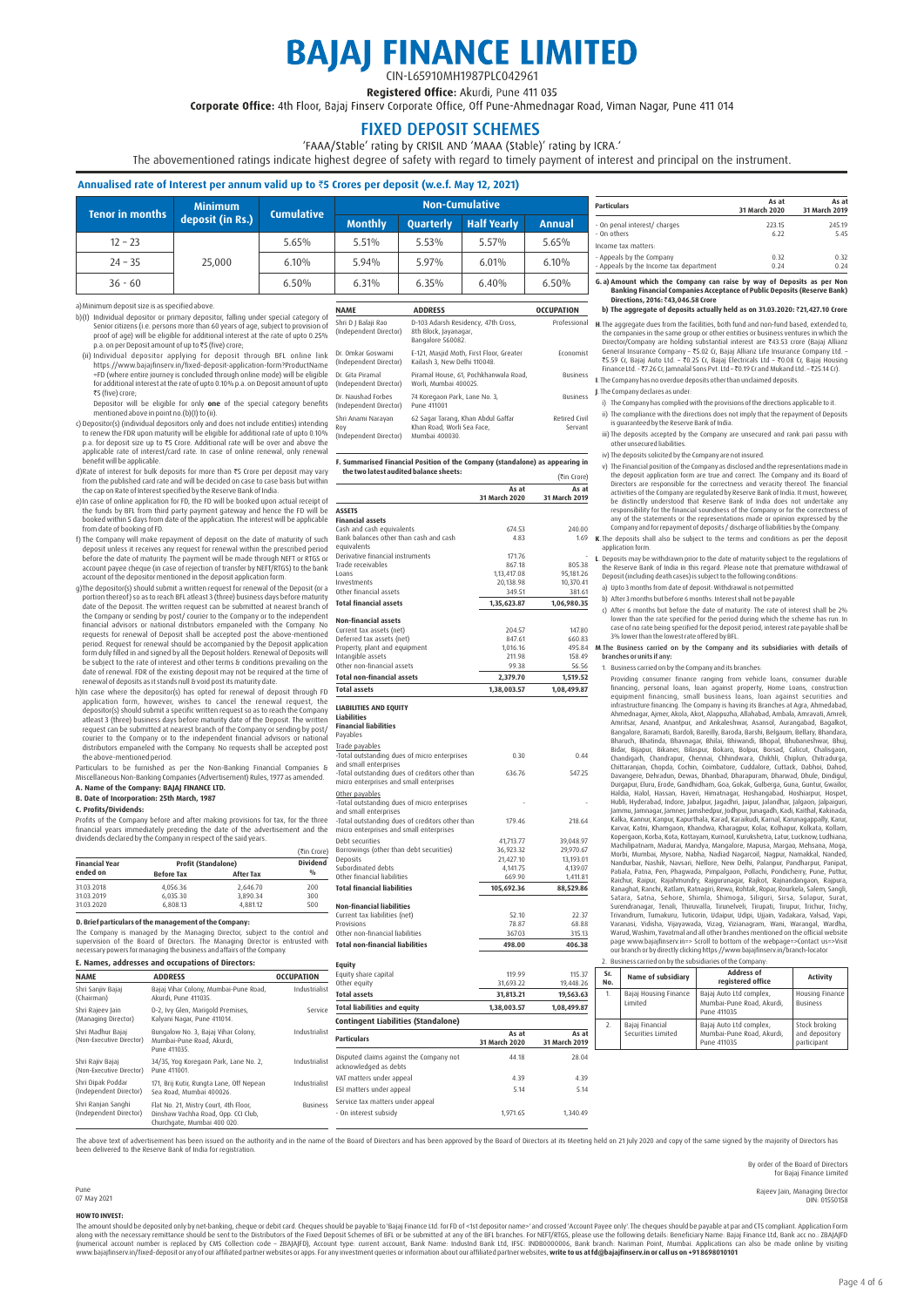# **BAJAJ FINANCE LIMITED** CIN-L65910MH1987PLC042961

Registered Office: Akurdi, Pune 411 035

Corporate Office: 4th Floor, Bajaj Finsery Corporate Office, Off Pune-Ahmednagar Road, Viman Nagar, Pune 411 014

## FIXED DEPOSIT SCHEMES

'FAAA/Stable' rating by CRISIL AND 'MAAA (Stable)' rating by ICRA.'

The abovementioned ratings indicate highest degree of safety with regard to timely payment of interest and principal on the instrument.

## **Annualised rate of Interest per annum valid up to** `**5 Crores per deposit (w.e.f. May 12, 2021)**

|                 | <b>Minimum</b>   | <b>Cumulative</b> | Non-Cumulative |                  |                    |        |  |  |  |  |
|-----------------|------------------|-------------------|----------------|------------------|--------------------|--------|--|--|--|--|
| Tenor in months | deposit (in Rs.) |                   | <b>Monthly</b> | <b>Ouarterly</b> | <b>Half Yearly</b> | Annual |  |  |  |  |
| $12 - 23$       |                  | 5.65%             | 5.51%          | 5.53%            | 5.57%              | 5.65%  |  |  |  |  |
| $24 - 35$       | 25,000           | 6.10%             | 5.94%          | 5.97%            | 6.01%              | 6.10%  |  |  |  |  |
| $36 - 60$       |                  | 6.50%             | 6.31%          | 6.35%            | 6.40%              | 6.50%  |  |  |  |  |

 $(1n)$ 

Roy

### a) Minimum deposit size is as specified above.

- b)(I) Individual depositor or primary depositor, falling under special category of Senior citizens (i.e. persons more than 60 years of age, subject to provision of proof of age) will be eligible for additional interest at
- (ii) Individual depositor applying for deposit through BFL online link)<br>https://www.bajajinserv.in/fixed-deposit-application-form?ProductName<br>FD (where entire journey is concluded through online mode) will be eligible<br>for ₹5 (five) crore;
- Depositor will be eligible for only **one** of the special category benefits mentioned above in point no.(b)(I) to (ii). c) Depositor(s) (individual depositors only and does not include entities) intending
- to renew the FDR upon maturity will be eligible for additional rate of upto 0.10%<br>p.a. for deposit size up to ₹5 Crore. Additional rate will be over and above the<br>applicable rate of interest/card rate. In case of online re
- d)Rate of interest for bulk deposits for more than  $\overline{55}$  Crore per deposit may vary
- from the published card rate and will be decided on case to case basis but within<br>the cap on Rate of Interest specified by the Reserve Bank of India.<br>e)In case of online application for FD, the FD will be booked upon actua
- 
- from date of booking of FD.<br>
1) The Company will make repayment of deposit on the date of maturity of such<br>
deposit unless it receives any request for renewal within the prescribed period<br>
before the date of maturity. The account of the depositormentioned in the deposit application form.
- g)The depositor(s) should submit a written request for renewal of the Deposit (or a<br>portion thereof) so as to reach BFL atleast 3 (three) business days before maturity<br>date of the Deposit. The written request can be submit the Company or sending by post/ courier to the Company or to the independent<br>financial advisors or national distributors empaneled with the Company. No<br>requests for renewal of Deposit shall be accepted post the above-menti renewal of deposits as it stands null & void post its maturity date.
- h)In case where the depositor(s) has opted for renewal of deposit through FD application form, however, wishes to cancel the renewal request, the depositor(s) should submit a specific written request so as to reach the Com distributors empaneled with the Company. No requests shall be accepted post the above-mentioned period. Particulars to be furnished as per the Non-Banking Financial Companies &
- Miscellaneous Non-Banking Companies (Advertisement) Rules, 1977 as amended.

### **A. Name of the Company: BAJAJ FINANCE LTD. B. Date of Incorporation: 25th March, 1987**

## **C. Profits/Dividends:**

Profits of the Company before and after making provisions for tax, for the three financial years immediately preceding the date of the advertisement and the dividends declared by the Company in respect of the said years.

|                       |                            |                  | (₹in Crore)     |
|-----------------------|----------------------------|------------------|-----------------|
| <b>Financial Year</b> | <b>Profit (Standalone)</b> |                  | <b>Dividend</b> |
| ended on              | <b>Before Tax</b>          | <b>After Tax</b> | $\frac{0}{0}$   |
| 31.03.2018            | 4.056.36                   | 2.646.70         | 200             |
| 31.03.2019            | 6.035.30                   | 3.890.34         | 300             |
| 31.03.2020            | 6.808.13                   | 4.881.12         | 500             |

**D. Brief particulars of the management of the Company:**

The Company is managed by the Managing Director, subject to the control and<br>supervision of the Board of Directors. The Managing Director is entrusted with<br>necessarypowersformanaging thebusiness.and.affairs.ofthe.Company.

| E. Names, addresses and occupations of Directors: |
|---------------------------------------------------|
|                                                   |

| <b>NAME</b>                                   | <b>ADDRESS</b>                                                                                              | <b>OCCUPATION</b> |
|-----------------------------------------------|-------------------------------------------------------------------------------------------------------------|-------------------|
| Shri Saniiv Baiai<br>(Chairman)               | Bajaj Vihar Colony, Mumbai-Pune Road,<br>Akurdi, Pune 411035.                                               | Industrialist     |
| Shri Rajeev Jain<br>(Managing Director)       | D-2, Ivy Glen, Marigold Premises,<br>Kalyani Nagar, Pune 411014.                                            | Service           |
| Shri Madhur Baiai<br>(Non-Executive Director) | Bungalow No. 3, Bajaj Vihar Colony,<br>Mumbai-Pune Road, Akurdi,<br>Pune 411035.                            | Industrialist     |
| Shri Raiiv Baiai<br>(Non-Executive Director)  | 34/35, Yog Koregaon Park, Lane No. 2,<br>Pune 411001.                                                       | Industrialist     |
| Shri Dipak Poddar<br>(Independent Director)   | 171. Brii Kutir, Rungta Lane, Off Nepean<br>Sea Road, Mumbai 400026.                                        | Industrialist     |
| Shri Ranjan Sanghi<br>(Independent Director)  | Flat No. 21, Mistry Court, 4th Floor,<br>Dinshaw Vachha Road, Opp. CCI Club,<br>Churchgate, Mumbai 400 020. | <b>Business</b>   |

| <b>NAME</b>                                         | <b>ADDRESS</b>                                                                     | <b>OCCUPATION</b>        |
|-----------------------------------------------------|------------------------------------------------------------------------------------|--------------------------|
| Shri D J Balaji Rao<br>(Independent Director)       | D-103 Adarsh Residency, 47th Cross,<br>8th Block, Jayanagar,<br>Bangalore 560082.  | Professional             |
| Dr. Omkar Goswami<br>(Independent Director)         | E-121, Masjid Moth, First Floor, Greater<br>Kailash 3. New Delhi 110048.           | Fronomist                |
| Dr. Gita Piramal<br>(Independent Director)          | Piramal House, 61, Pochkhanwala Road,<br>Worli, Mumbai 400025.                     | <b>Business</b>          |
| Dr. Naushad Forbes<br>(Independent Director)        | 74 Koregaon Park, Lane No. 3,<br>Pune 411001                                       | <b>Business</b>          |
| Shri Anami Naravan<br>Rov<br>(Independent Director) | 62 Sagar Tarang, Khan Abdul Gaffar<br>Khan Road, Worli Sea Face,<br>Mumbai 400030. | Retired Civil<br>Servant |

| F. Summarised Financial Position of the Company (standalone) as appearing in<br>the two latest audited balance sheets: |                          |                        |
|------------------------------------------------------------------------------------------------------------------------|--------------------------|------------------------|
|                                                                                                                        |                          | (₹in Crore)            |
|                                                                                                                        | As at<br>31 March 2020   | As at<br>31 March 2019 |
| <b>ASSETS</b>                                                                                                          |                          |                        |
| <b>Financial assets</b>                                                                                                |                          |                        |
| Cash and cash equivalents                                                                                              | 674.53                   | 240.00                 |
| Bank balances other than cash and cash                                                                                 | 4.83                     | 1.69                   |
| equivalents                                                                                                            |                          |                        |
| Derivative financial instruments<br>Trade receivables                                                                  | 171.76<br>867.18         | 805.38                 |
| Loans                                                                                                                  |                          |                        |
| Investments                                                                                                            | 1,13,417.08<br>20,138.98 | 95,181.26<br>10,370.41 |
| Other financial assets                                                                                                 | 349.51                   | 381.61                 |
| <b>Total financial assets</b>                                                                                          | 1,35,623.87              | 1,06,980.35            |
|                                                                                                                        |                          |                        |
| <b>Non-financial assets</b>                                                                                            |                          |                        |
| Current tax assets (net)                                                                                               | 204.57                   | 147.80                 |
| Deferred tax assets (net)                                                                                              | 847.61                   | 660.83                 |
| Property, plant and equipment                                                                                          | 1.016.16                 | 495.84                 |
| Intangible assets                                                                                                      | 211.98                   | 158.49                 |
| Other non-financial assets                                                                                             | 99.38                    | 56.56                  |
| <b>Total non-financial assets</b>                                                                                      | 2,379.70                 | 1,519.52               |
| <b>Total assets</b>                                                                                                    | 1,38,003.57              | 1,08,499.87            |
| <b>LIABILITIES AND EQUITY</b><br><b>Liabilities</b><br><b>Financial liabilities</b><br>Pavables                        |                          |                        |
| Trade payables                                                                                                         |                          |                        |
| -Total outstanding dues of micro enterprises                                                                           | 0.30                     | 0.44                   |
| and small enterprises                                                                                                  |                          |                        |
| -Total outstanding dues of creditors other than                                                                        | 636.76                   | 547.25                 |
| micro enterprises and small enterprises                                                                                |                          |                        |
| Other payables<br>-Total outstanding dues of micro enterprises                                                         |                          |                        |
| and small enterprises<br>-Total outstanding dues of creditors other than<br>micro enterprises and small enterprises    | 179.46                   | 218.64                 |
| Debt securities                                                                                                        | 41,713.77                | 39,048.97              |
| Borrowings (other than debt securities)                                                                                | 36,923.32                | 29,970.67              |
| Deposits                                                                                                               | 21,427.10                | 13,193.01              |
| Subordinated debts                                                                                                     | 4,141.75                 | 4,139.07               |
| Other financial liabilities                                                                                            | 669.90                   | 1,411.81               |
| <b>Total financial liabilities</b>                                                                                     | 105,692.36               | 88,529.86              |
| <b>Non-financial liabilities</b>                                                                                       |                          |                        |
| Current tax liabilities (net)                                                                                          | 52.10                    | 22.37                  |
| Provisions                                                                                                             | 78.87                    | 68.88                  |
| Other non-financial liabilities                                                                                        | 367.03                   | 315.13                 |
| <b>Total non-financial liabilities</b>                                                                                 | 498.00                   | 406.38                 |

| <b>Particulars</b>                     | As at<br>31 March 2020 | As at<br>31 March 2019 |
|----------------------------------------|------------------------|------------------------|
| - On penal interest/ charges           | 223.15                 | 245.19                 |
| - On others                            | 6.22                   | 5.45                   |
| Income tax matters:                    |                        |                        |
| - Appeals by the Company               | 0.32                   | 0.32                   |
| - Appeals by the Income tax department | 0.24                   | 0.24                   |

G. a) Amount which the Company can raise by way of Deposits as per Non<br>Banking Financial Companies Acceptance of Public Deposits (Reserve Bank)<br>Directions, 2016: ₹43,046.58 Crore

# **b) The aggregate of deposits actually held as on 31.03.2020:** `**21,427.10 Crore**

**H.** The aggregate dues from the facilities, both fund and non-fund based, extended to, the companies in the same group or other entities or business ventures in which the Director/Company are holding substantial interest

## **J**. The Company declares as under

- i) The Company has complied with the provisions of the directions applicable to it. ii) The compliance with the directions does not imply that the repayment of Deposits is guaranteed by the Reserve Bank of India.
- 
- iii) The deposits accepted by the Company are unsecured and rank pari passu with other unsecured liabilities.
- 

iv) The deposits solicited by the Company are not insured.<br>
The Theorem Scheme and the company as disclosed and the representations made in<br>
the deposit application form are true and correct. The Company and its Board of<br>

**K**. The deposits shall also be subject to the terms and conditions as per the deposit application form.

**L**. Deposits may be withdrawn prior to the date of maturity subject to the regulations of the Reserve Bank of India in this regard. Please note that premature withdrawal of Deposit (including death cases) is subject to the following conditions:

a) Upto 3 months from date of deposit: Withdrawal is not permitted

b) After 3 months but before 6 months: Interest shall not be payable

c) After 6 months but before the date of maturity: The rate of interest shall be 2%<br>lower than the rate specified for the period during which the scheme has run. In<br>case of no rate being specified for the deposit period, i

## **M**.The Business carried on by the Company and its subsidiaries with details of

branches or units if any:<br>branches or units if any:<br>1. Business carried on by the Company and its branches

1. Busines carried only the Compary and its banches:<br>
Providing consumer finance ranging from vehicle loans, consumer durable financing, personal loans, loan against property, Home Loans, consumer durable financing, small

### **No. registered office Activity** Bajaj Housing Fina Limited 1. Bajaj Housing Finance Bajaj Auto Ltd complex,<br>Limited Mumbai-Pune Road, Akurdi, Pune 411035 ousing Fina Business Bajaj Financial Securities Limited 2. Bajaj Financial Bajaj Auto Ltd comp Mumbai-Pune Road, Akurdi, Pune 411035 Stock broking and depository participant

The above text of advertisement has been issued on the authority and in the name of the Board of Directors and has been approved by the Board of Directors at its Meeting held on 21 July 2020 and copy of the same signed by

**31 March 2020 31 March 2019 Particulars**

119.99 31,693.22 **31,813.21 1,38,003.57** 

**As at** 

44.18 4.39 5.14 1,971.65

115.37 10 AAR 26 **19,563.63 1,08,499.87** 

> 28.04 4.39 5.14 1,340.49

**As at** 

**Equity** Equity share capital Other equity **Total assets Total liabilities and equity**

Disputed claims against the Company not acknowledged as debts VAT matters under appeal ESI matters under appeal Service tax matters under appeal - On interest subsidy

**Contingent Liabilities (Standalone)**

By order of the Board of Directors for Bajaj Finance Limited

Rajeev Jain, Managing Director DIN: 01550158

Pune 07 May 2021 **HOWTO INVEST:**

The amount should be deposited only by net-banking, cheque or debit card. Cheques should be payable to Bajaj Finance have been to design almost and crossed 'Account Payes only. The cheques should be payable at payable at p www.bajafinserv.in/lixed-depositorany of our affiliated partner websites or appoint by encount type: current account, Bank Name: Industrial Bank Itd, IFSC: INDB0000006, Bank branch: Nariman Point, Mumbai. Applications can ww.bajajfinserv.in/fixed-deposit or any of our affiliated partner websites or apps. For any investment queries or information about our affiliated partn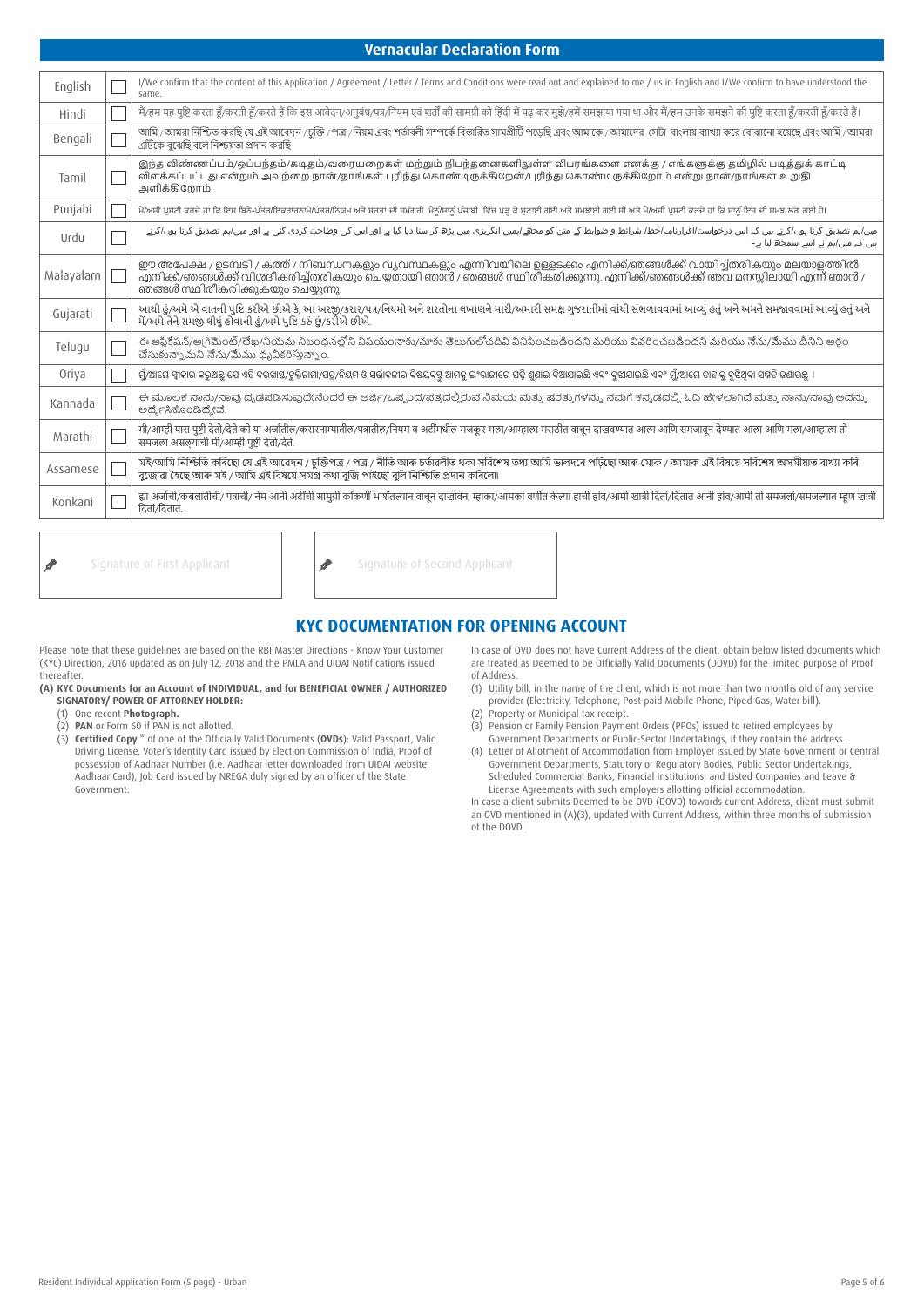## **Vernacular Declaration Form**

| English   | I/We confirm that the content of this Application / Agreement / Letter / Terms and Conditions were read out and explained to me / us in English and I/We confirm to have understood the<br>same.                                                                                             |
|-----------|----------------------------------------------------------------------------------------------------------------------------------------------------------------------------------------------------------------------------------------------------------------------------------------------|
| Hindi     | मैं/हम यह पृष्टि करता हँ/करते हैं कि इस आवेदन/अनुबंध/पत्र/नियम एवं शर्तों की सामग्री को हिंदी में पढ कर मुझे/हमें समझाया गया था और मैं/हम उनके समझने की पृष्टि करता हँ/करती हँ/करते हैं।                                                                                                     |
| Bengali   | আমি /আমরা নিশ্চিত করছি যে এই আবেদন /চক্তি / পত্র /নিয়ম এবং শর্তাবলী সম্পর্কে বিস্তারিত সামগ্রীটি পডেছি এবং আমাকে /আমাদের সেটা বাংলায় ব্যাখ্যা করে বোঝানো হয়েছে এবং আমি /আমরা<br>এটিকে বঝেছি বলে নিশ্চয়তা প্রদান করছি                                                                     |
| Tamil     | இந்த விண்ணப்பம்/ஒப்பந்தம்/கடிதம்/வரையறைகள் மற்றும் நிபந்தனைகளிலுள்ள விபரங்களை எனக்கு / எங்களுக்கு தமிழில் படித்துக் காட்டி<br>விளக்கப்பட்டது என்றும் அவற்றை நான்/நாங்கள் புரிந்து கொண்டிருக்கிறேன்/புரிந்து கொண்டிருக்கிறோம் என்று நான்/நாங்கள் உறுதி<br>அளிக்கிறோம்.                        |
| Punjabi   | ਮੈਂ/ਅਸੀਂ ਪਸ਼ਟੀ ਕਰਦੇ ਹਾਂ ਕਿ ਇਸ ਬਿਨੈ-ਪੱਤਰ/ਇਕਰਾਰਨਾਮੇ/ਪੱਤਰ/ਨਿਯਮ ਅਤੇ ਸ਼ਰਤਾਂ ਦੀ ਸਮੱਗਰੀ ਮੈਨੰ/ਸਾਨੂੰ ਪੰਜਾਬੀ ਵਿੱਚ ਪੜ ਕੇ ਸਣਾਈ ਗਈ ਅਤੇ ਸਮਝਾਈ ਗਈ ਸੀ ਅਤੇ ਮੈਂ/ਅਸੀਂ ਪਸ਼ਟੀ ਕਰਦੇ ਹਾਂ ਕਿ ਸਾਨੂੰ ਇਸ ਦੀ ਸਮਝ ਲੱਗ ਗਈ ਹੈ।                                                                                              |
| Urdu      | میں/ہم تصدیق کرتا ہوں/کرتے ہیں کہ اس درخواست/اقرارنامہ/خط/ شرائط و ضوابط کے متن کو میں پڑھ کر سا دیا گیا ہے اور اس کی وضاحت کردی گئی ہے اور میں/ہم تصدیق کرتا ہوں/کرتے<br>ہیں کہ میں/ہم نے اسے سمجھ لیا ہے۔                                                                                  |
| Malayalam | ഈ അപേക്ഷ / ഉടമ്പടി / കത്ത് / നിബന്ധനകളും വ്യവസ്ഥകളും എന്നിവയിലെ ഉള്ളടക്കം എനിക്ക്/ഞങ്ങൾക്ക് വായിച്ച്തരികയും മലയാളത്തിൽ<br>.എനിക്ക്/ഞങ്ങൾക്ക് വിശദീകരിച്ച്തരികയും ചെയ്തതായി ഞാൻ / ഞങ്ങൾ സ്ഥിരീകരിക്കുന്നു. എനിക്ക്/ഞങ്ങൾക്ക് അവ മനസ്സിലായി എന്ന് ഞാൻ /<br>ഞങ്ങൾ സ്ഥിരീകരിക്കുകയും ചെയ്യുന്നു. |
| Gujarati  | આથી હું/અમે એ વાતની પુષ્ટિ કરીએ છીએ કે, આ અરજી/કરાર/પત્ર/નિયમો અને શરતોના વખાણને મારી/અમારી સમક્ષ ગુજરાતીમાં વાંચી સંભળાવવામાં આવ્યું હતું અને અમને સમજાવવામાં આવ્યું હતું અને અમને સમજાવવામાં આવ્યું હતું<br>મેં/અમે તેને સમજી લીધું હોવાની હં/અમે પુષ્ટિ કરું છું/કરીએ છીએ.                |
| Telugu    | ఈ అప్లికేషన్/అ[గిమెంట్/లేఖ/నియమ నిబంధనల్లోని విషయంనాక్కుమాకు తెలుగులోచదివి వినిపించబడిందని మరియుదిందని మరియు నేను/మేము దీనిని అర్గం<br>చేసుకున్నా మని నేను/మేము ధృవీకరిస్తున్నాం.                                                                                                            |
| Oriya     | ମୁଁ/ଆୟେ ସ୍ୱୀକାର କରୁଅଛୁ ଯେ ଏହି ଦରଖାସ୍ତ/ଚୁକ୍ତିନାମା/ପତ୍ର/ନିୟମ ଓ ସର୍ଭାବଳୀର ବିଷୟବସ୍ଥ ଆମାକୁ ପର ବିଶାର ଦିଆଯାଇଛି ଏବଂ ବୁଆଯାଇଛି ଏବଂ ମୁଁ/ଆୟେ ତାହାକୁ ବୁଝିଥିବା ସମ୍ମତି ଜଣାଉଛି ।                                                                                                                             |
| Kannada   | ಈ ಮೂಲಕ ನಾನು/ನಾವು ದೃಢಪಡಿಸುವುದೇನೆಂದರೆ ಈ ಅರ್ಜಿ/ಒಪ್ಪಂದ/ಪತ್ರದಲ್ಲಿರುವ ನಿಮಯ ಮತ್ತು ಷರತ್ತುಗಳನ್ನು ನಮಗೆ ಕನ್ನಡದಲ್ಲಿ ಓದಿ ಹೇಳಲಾಗಿದೆ ಮತ್ತು ನಾನು/ನಾವು ಅದನ್ನು<br>ಅರ್ಥೈಸಿಕೊಂಡಿದ್ದೇವೆ.                                                                                                                          |
| Marathi   | मी/आम्ही यास पुष्टी देतो/देते की या अर्जातील/करारनाम्यातील/नियाम व अटीमधील मजकूर मला/आम्हाला मराठीत वाचून दाखवण्यात आला आणि समजावून देण्यात आला आणि मला/आम्हाला तो<br>समजला असलयाची मी/आम्ही पृष्टी देतो/देते.                                                                               |
| Assamese  | মই/আমি নিশ্চিতি কৰিছো যে এই আৱেদন / চুক্তিপত্ৰ / পত্ৰ / নীতি আৰু চৰ্তাৱলীত থকা সবিশেষ তথ্য আমি ভালদৰে পঢ়িছো আৰু মোক / আমাক এই বিষয়ে সবিশেষ অসমীয়াত বাখ্যা কৰি<br>বজোৱা হৈছে আৰু মই / আমি এই বিষয়ে সমগ্ৰ কথা বুজি পাইছো বুলি নিশ্চিতি প্ৰদান কৰিলো৷                                       |
| Konkani   | ह्या अर्जाची/कबलातीची/ पत्राची/ नेम आनी अटींची सामग्री कोंकणी भाशेतल्यान वाचुन दाखोवन, म्हाका/आमकां वर्णीत केल्या हाची हांव/आमी खात्री दितां/दितात आनी हांव/आमी ती समजला/समजल्यात म्हण खात्री<br>दितां/दितात.                                                                                |

Signature of First Applicant  $\left|\int\right|$  Signature of Second Applicant Í

# **KYC DOCUMENTATION FOR OPENING ACCOUNT**

Please note that these guidelines are based on the RBI Master Directions - Know Your Customer (KYC) Direction, 2016 updated as on July 12, 2018 and the PMLA and UIDAI Notifications issued thereafter.

- **(A) KYC Documents for an Account of INDIVIDUAL, and for BENEFICIAL OWNER / AUTHORIZED SIGNATORY/ POWER OF ATTORNEY HOLDER:**
	- (1) One recent **Photograph.**
	- (2) **PAN** or Form 60 if PAN is not allotted.
	- (3) **Certified Copy \*** of one of the Officially Valid Documents (**OVDs**): Valid Passport, Valid Driving License, Voter's Identity Card issued by Election Commission of India, Proof of possession of Aadhaar Number (i.e. Aadhaar letter downloaded from UIDAI website, Aadhaar Card), Job Card issued by NREGA duly signed by an officer of the State Government.

In case of OVD does not have Current Address of the client, obtain below listed documents which are treated as Deemed to be Officially Valid Documents (DOVD) for the limited purpose of Proof of Address.

- (1) Utility bill, in the name of the client, which is not more than two months old of any service provider (Electricity, Telephone, Post-paid Mobile Phone, Piped Gas, Water bill).
- (2) Property or Municipal tax receipt.
- (3) Pension or Family Pension Payment Orders (PPOs) issued to retired employees by Government Departments or Public-Sector Undertakings, if they contain the address .
- (4) Letter of Allotment of Accommodation from Employer issued by State Government or Central Government Departments, Statutory or Regulatory Bodies, Public Sector Undertakings, Scheduled Commercial Banks, Financial Institutions, and Listed Companies and Leave & License Agreements with such employers allotting official accommodation.

In case a client submits Deemed to be OVD (DOVD) towards current Address, client must submit an OVD mentioned in (A)(3), updated with Current Address, within three months of submission of the DOVD.